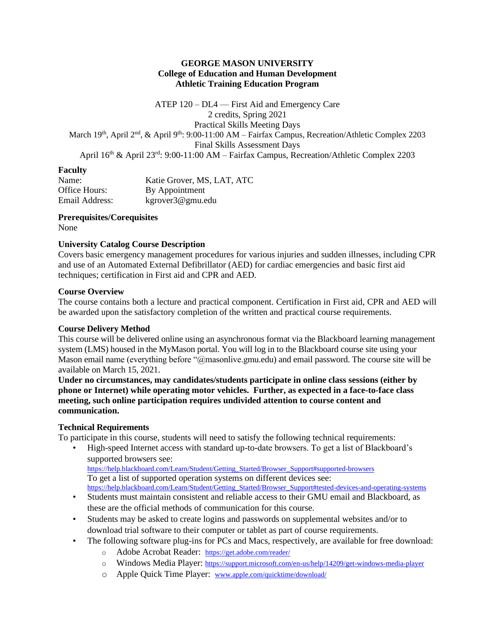#### **GEORGE MASON UNIVERSITY College of Education and Human Development Athletic Training Education Program**

ATEP 120 – DL4 — First Aid and Emergency Care 2 credits, Spring 2021 Practical Skills Meeting Days March 19<sup>th</sup>, April 2<sup>nd</sup>, & April 9<sup>th</sup>: 9:00-11:00 AM – Fairfax Campus, Recreation/Athletic Complex 2203 Final Skills Assessment Days April 16<sup>th</sup> & April 23<sup>rd</sup>: 9:00-11:00 AM – Fairfax Campus, Recreation/Athletic Complex 2203

#### **Faculty**

| Name:          | Katie Grover, MS, LAT, ATC |
|----------------|----------------------------|
| Office Hours:  | By Appointment             |
| Email Address: | kgrover3@gmu.edu           |

#### **Prerequisites/Corequisites**

None

#### **University Catalog Course Description**

Covers basic emergency management procedures for various injuries and sudden illnesses, including CPR and use of an Automated External Defibrillator (AED) for cardiac emergencies and basic first aid techniques; certification in First aid and CPR and AED.

#### **Course Overview**

The course contains both a lecture and practical component. Certification in First aid, CPR and AED will be awarded upon the satisfactory completion of the written and practical course requirements.

#### **Course Delivery Method**

This course will be delivered online using an asynchronous format via the Blackboard learning management system (LMS) housed in the MyMason portal. You will log in to the Blackboard course site using your Mason email name (everything before "@masonlive.gmu.edu) and email password. The course site will be available on March 15, 2021.

**Under no circumstances, may candidates/students participate in online class sessions (either by phone or Internet) while operating motor vehicles. Further, as expected in a face-to-face class meeting, such online participation requires undivided attention to course content and communication.**

#### **Technical Requirements**

To participate in this course, students will need to satisfy the following technical requirements:

- High-speed Internet access with standard up-to-date browsers. To get a list of Blackboard's supported browsers see: [https://help.blackboard.com/Learn/Student/Getting\\_Started/Browser\\_Support#supported-browsers](https://help.blackboard.com/Learn/Student/Getting_Started/Browser_Support#supported-browsers) To get a list of supported operation systems on different devices see: [https://help.blackboard.com/Learn/Student/Getting\\_Started/Browser\\_Support#tested-devices-and-operating-systems](https://help.blackboard.com/Learn/Student/Getting_Started/Browser_Support#tested-devices-and-operating-systems)
- Students must maintain consistent and reliable access to their GMU email and Blackboard, as these are the official methods of communication for this course.
- Students may be asked to create logins and passwords on supplemental websites and/or to download trial software to their computer or tablet as part of course requirements.
- The following software plug-ins for PCs and Macs, respectively, are available for free download:
	- o Adobe Acrobat Reader: <https://get.adobe.com/reader/>
	- o Windows Media Player: <https://support.microsoft.com/en-us/help/14209/get-windows-media-player>
	- o Apple Quick Time Player: [www.apple.com/quicktime/download/](http://www.apple.com/quicktime/download/)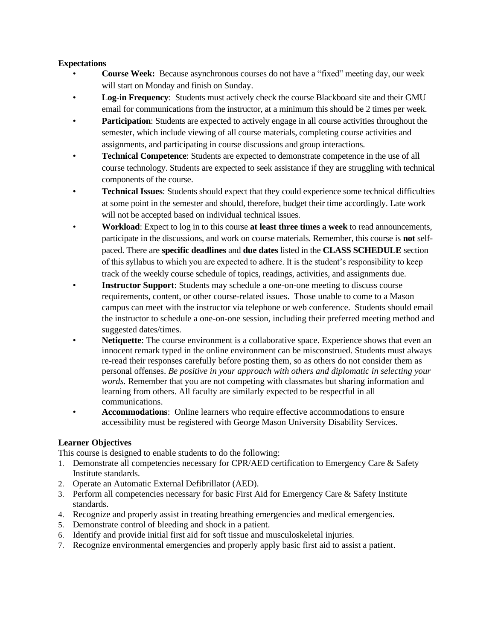#### **Expectations**

- **Course Week:** Because asynchronous courses do not have a "fixed" meeting day, our week will start on Monday and finish on Sunday.
- **Log-in Frequency**: Students must actively check the course Blackboard site and their GMU email for communications from the instructor, at a minimum this should be 2 times per week.
- **Participation**: Students are expected to actively engage in all course activities throughout the semester, which include viewing of all course materials, completing course activities and assignments, and participating in course discussions and group interactions.
- **Technical Competence**: Students are expected to demonstrate competence in the use of all course technology. Students are expected to seek assistance if they are struggling with technical components of the course.
- **Technical Issues**: Students should expect that they could experience some technical difficulties at some point in the semester and should, therefore, budget their time accordingly. Late work will not be accepted based on individual technical issues.
- **Workload**: Expect to log in to this course **at least three times a week** to read announcements, participate in the discussions, and work on course materials. Remember, this course is **not** selfpaced. There are **specific deadlines** and **due dates** listed in the **CLASS SCHEDULE** section of this syllabus to which you are expected to adhere. It is the student's responsibility to keep track of the weekly course schedule of topics, readings, activities, and assignments due.
- **Instructor Support:** Students may schedule a one-on-one meeting to discuss course requirements, content, or other course-related issues. Those unable to come to a Mason campus can meet with the instructor via telephone or web conference. Students should email the instructor to schedule a one-on-one session, including their preferred meeting method and suggested dates/times.
- **Netiquette**: The course environment is a collaborative space. Experience shows that even an innocent remark typed in the online environment can be misconstrued. Students must always re-read their responses carefully before posting them, so as others do not consider them as personal offenses. *Be positive in your approach with others and diplomatic in selecting your words.* Remember that you are not competing with classmates but sharing information and learning from others. All faculty are similarly expected to be respectful in all communications.
- **Accommodations**: Online learners who require effective accommodations to ensure accessibility must be registered with George Mason University Disability Services.

#### **Learner Objectives**

This course is designed to enable students to do the following:

- 1. Demonstrate all competencies necessary for CPR/AED certification to Emergency Care & Safety Institute standards.
- 2. Operate an Automatic External Defibrillator (AED).
- 3. Perform all competencies necessary for basic First Aid for Emergency Care & Safety Institute standards.
- 4. Recognize and properly assist in treating breathing emergencies and medical emergencies.
- 5. Demonstrate control of bleeding and shock in a patient.
- 6. Identify and provide initial first aid for soft tissue and musculoskeletal injuries.
- 7. Recognize environmental emergencies and properly apply basic first aid to assist a patient.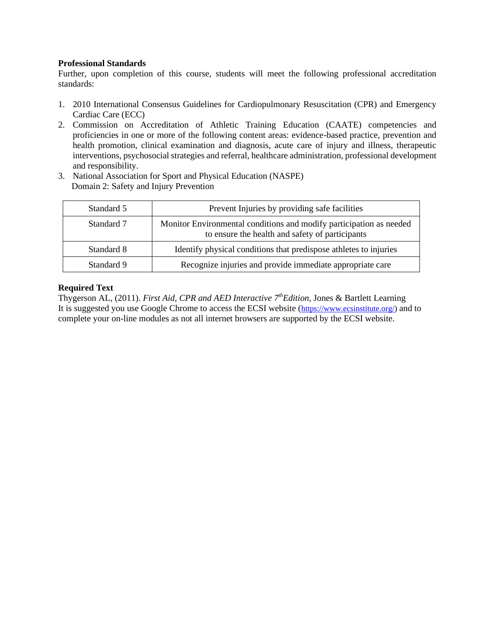#### **Professional Standards**

Further, upon completion of this course, students will meet the following professional accreditation standards:

- 1. 2010 International Consensus Guidelines for Cardiopulmonary Resuscitation (CPR) and Emergency Cardiac Care (ECC)
- 2. Commission on Accreditation of Athletic Training Education (CAATE) competencies and proficiencies in one or more of the following content areas: evidence-based practice, prevention and health promotion, clinical examination and diagnosis, acute care of injury and illness, therapeutic interventions, psychosocial strategies and referral, healthcare administration, professional development and responsibility.
- 3. National Association for Sport and Physical Education (NASPE) Domain 2: Safety and Injury Prevention

| Standard 5 | Prevent Injuries by providing safe facilities                                                                          |
|------------|------------------------------------------------------------------------------------------------------------------------|
| Standard 7 | Monitor Environmental conditions and modify participation as needed<br>to ensure the health and safety of participants |
| Standard 8 | Identify physical conditions that predispose athletes to injuries                                                      |
| Standard 9 | Recognize injuries and provide immediate appropriate care                                                              |

#### **Required Text**

Thygerson AL, (2011). *First Aid, CPR and AED Interactive 7thEdition*, Jones & Bartlett Learning It is suggested you use Google Chrome to access the ECSI website ([https://www.ecsinstitute.org/\)](https://www.ecsinstitute.org/) and to complete your on-line modules as not all internet browsers are supported by the ECSI website.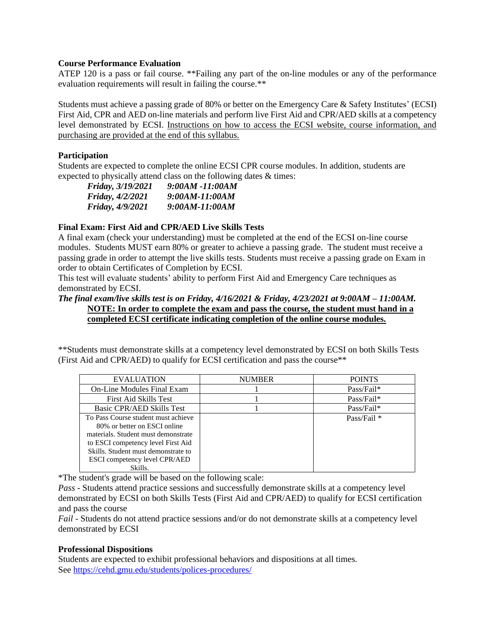#### **Course Performance Evaluation**

ATEP 120 is a pass or fail course. \*\*Failing any part of the on-line modules or any of the performance evaluation requirements will result in failing the course.\*\*

Students must achieve a passing grade of 80% or better on the Emergency Care & Safety Institutes' (ECSI) First Aid, CPR and AED on-line materials and perform live First Aid and CPR/AED skills at a competency level demonstrated by ECSI. Instructions on how to access the ECSI website, course information, and purchasing are provided at the end of this syllabus.

#### **Participation**

Students are expected to complete the online ECSI CPR course modules. In addition, students are expected to physically attend class on the following dates & times:

| <i>Friday, 3/19/2021</i> | 9:00AM -11:00AM |
|--------------------------|-----------------|
| <i>Friday, 4/2/2021</i>  | 9:00AM-11:00AM  |
| Friday, 4/9/2021         | 9:00AM-11:00AM  |

#### **Final Exam: First Aid and CPR/AED Live Skills Tests**

A final exam (check your understanding) must be completed at the end of the ECSI on-line course modules. Students MUST earn 80% or greater to achieve a passing grade. The student must receive a passing grade in order to attempt the live skills tests. Students must receive a passing grade on Exam in order to obtain Certificates of Completion by ECSI.

This test will evaluate students' ability to perform First Aid and Emergency Care techniques as demonstrated by ECSI.

#### *The final exam/live skills test is on Friday, 4/16/2021 & Friday, 4/23/2021 at 9:00AM – 11:00AM.* **NOTE: In order to complete the exam and pass the course, the student must hand in a completed ECSI certificate indicating completion of the online course modules.**

\*\*Students must demonstrate skills at a competency level demonstrated by ECSI on both Skills Tests (First Aid and CPR/AED) to qualify for ECSI certification and pass the course\*\*

| <b>EVALUATION</b>                    | <b>NUMBER</b> | <b>POINTS</b> |
|--------------------------------------|---------------|---------------|
| On-Line Modules Final Exam           |               | Pass/Fail*    |
| First Aid Skills Test                |               | Pass/Fail*    |
| Basic CPR/AED Skills Test            |               | Pass/Fail*    |
| To Pass Course student must achieve  |               | Pass/Fail $*$ |
| 80% or better on ESCI online         |               |               |
| materials. Student must demonstrate  |               |               |
| to ESCI competency level First Aid   |               |               |
| Skills. Student must demonstrate to  |               |               |
| <b>ESCI</b> competency level CPR/AED |               |               |
| Skills.                              |               |               |

\*The student's grade will be based on the following scale:

*Pass* - Students attend practice sessions and successfully demonstrate skills at a competency level demonstrated by ECSI on both Skills Tests (First Aid and CPR/AED) to qualify for ECSI certification and pass the course

*Fail* - Students do not attend practice sessions and/or do not demonstrate skills at a competency level demonstrated by ECSI

#### **Professional Dispositions**

Students are expected to exhibit professional behaviors and dispositions at all times. See<https://cehd.gmu.edu/students/polices-procedures/>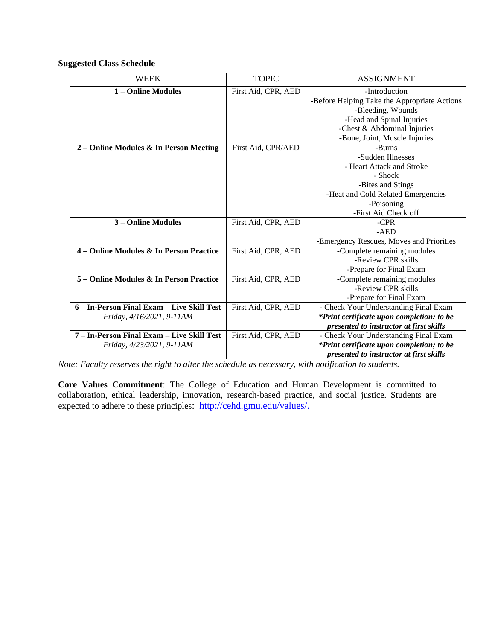**Suggested Class Schedule**

| <b>WEEK</b>                                | <b>TOPIC</b>        | <b>ASSIGNMENT</b>                            |
|--------------------------------------------|---------------------|----------------------------------------------|
| 1 – Online Modules                         | First Aid, CPR, AED | -Introduction                                |
|                                            |                     | -Before Helping Take the Appropriate Actions |
|                                            |                     | -Bleeding, Wounds                            |
|                                            |                     | -Head and Spinal Injuries                    |
|                                            |                     | -Chest & Abdominal Injuries                  |
|                                            |                     | -Bone, Joint, Muscle Injuries                |
| 2 – Online Modules & In Person Meeting     | First Aid, CPR/AED  | -Burns                                       |
|                                            |                     | -Sudden Illnesses                            |
|                                            |                     | - Heart Attack and Stroke                    |
|                                            |                     | - Shock                                      |
|                                            |                     | -Bites and Stings                            |
|                                            |                     | -Heat and Cold Related Emergencies           |
|                                            |                     | -Poisoning                                   |
|                                            |                     | -First Aid Check off                         |
| 3 – Online Modules                         | First Aid, CPR, AED | $-CPR$                                       |
|                                            |                     | $- AED$                                      |
|                                            |                     | -Emergency Rescues, Moves and Priorities     |
| 4 – Online Modules & In Person Practice    | First Aid, CPR, AED | -Complete remaining modules                  |
|                                            |                     | -Review CPR skills                           |
|                                            |                     | -Prepare for Final Exam                      |
| 5 – Online Modules & In Person Practice    | First Aid, CPR, AED | -Complete remaining modules                  |
|                                            |                     | -Review CPR skills                           |
|                                            |                     | -Prepare for Final Exam                      |
| 6 – In-Person Final Exam – Live Skill Test | First Aid, CPR, AED | - Check Your Understanding Final Exam        |
| Friday, 4/16/2021, 9-11AM                  |                     | *Print certificate upon completion; to be    |
|                                            |                     | presented to instructor at first skills      |
| 7 – In-Person Final Exam – Live Skill Test | First Aid, CPR, AED | - Check Your Understanding Final Exam        |
| Friday, 4/23/2021, 9-11AM                  |                     | *Print certificate upon completion; to be    |
|                                            |                     | presented to instructor at first skills      |

*Note: Faculty reserves the right to alter the schedule as necessary, with notification to students.*

**Core Values Commitment**: The College of Education and Human Development is committed to collaboration, ethical leadership, innovation, research-based practice, and social justice. Students are expected to adhere to these principles: [http://cehd.gmu.edu/values/.](http://cehd.gmu.edu/values/)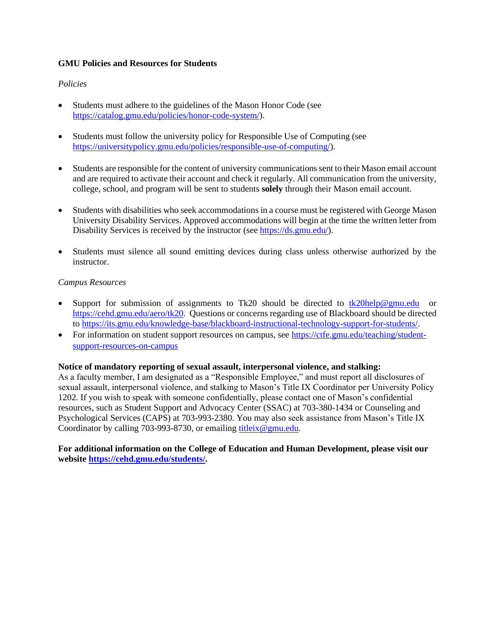#### **GMU Policies and Resources for Students**

#### *Policies*

- Students must adhere to the guidelines of the Mason Honor Code (see [https://catalog.gmu.edu/policies/honor-code-system/\)](https://catalog.gmu.edu/policies/honor-code-system/).
- Students must follow the university policy for Responsible Use of Computing (see [https://universitypolicy.gmu.edu/policies/responsible-use-of-computing/\)](https://universitypolicy.gmu.edu/policies/responsible-use-of-computing/).
- Students are responsible for the content of university communications sent to their Mason email account and are required to activate their account and check it regularly. All communication from the university, college, school, and program will be sent to students **solely** through their Mason email account.
- Students with disabilities who seek accommodations in a course must be registered with George Mason University Disability Services. Approved accommodations will begin at the time the written letter from Disability Services is received by the instructor (see [https://ds.gmu.edu/\)](https://ds.gmu.edu/).
- Students must silence all sound emitting devices during class unless otherwise authorized by the instructor.

#### *Campus Resources*

- Support for submission of assignments to Tk20 should be directed to  $tk20$ help@gmu.edu or [https://cehd.gmu.edu/aero/tk20.](https://cehd.gmu.edu/aero/tk20) Questions or concerns regarding use of Blackboard should be directed to [https://its.gmu.edu/knowledge-base/blackboard-instructional-technology-support-for-students/.](https://its.gmu.edu/knowledge-base/blackboard-instructional-technology-support-for-students/)
- For information on student support resources on campus, see [https://ctfe.gmu.edu/teaching/student](https://ctfe.gmu.edu/teaching/student-support-resources-on-campus)[support-resources-on-campus](https://ctfe.gmu.edu/teaching/student-support-resources-on-campus)

#### **Notice of mandatory reporting of sexual assault, interpersonal violence, and stalking:**

As a faculty member, I am designated as a "Responsible Employee," and must report all disclosures of sexual assault, interpersonal violence, and stalking to Mason's Title IX Coordinator per University Policy 1202. If you wish to speak with someone confidentially, please contact one of Mason's confidential resources, such as Student Support and Advocacy Center (SSAC) at 703-380-1434 or Counseling and Psychological Services (CAPS) at 703-993-2380. You may also seek assistance from Mason's Title IX Coordinator by calling 703-993-8730, or emailing [titleix@gmu.edu.](mailto:titleix@gmu.edu)

**For additional information on the College of Education and Human Development, please visit our website [https://cehd.gmu.edu/students/.](https://cehd.gmu.edu/students/)**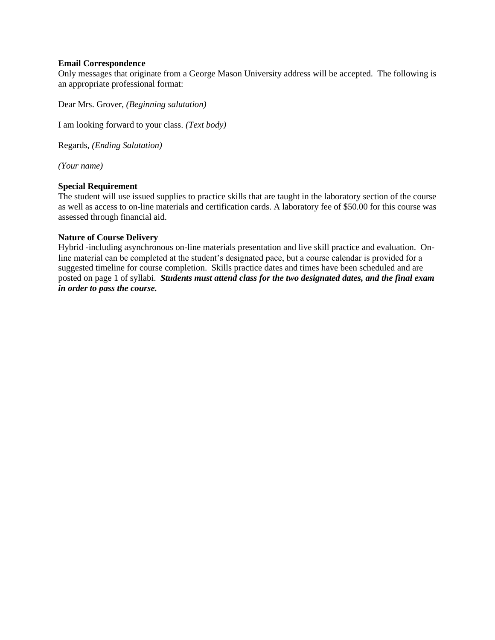#### **Email Correspondence**

Only messages that originate from a George Mason University address will be accepted. The following is an appropriate professional format:

Dear Mrs. Grover, *(Beginning salutation)*

I am looking forward to your class. *(Text body)*

Regards, *(Ending Salutation)*

*(Your name)*

#### **Special Requirement**

The student will use issued supplies to practice skills that are taught in the laboratory section of the course as well as access to on-line materials and certification cards. A laboratory fee of \$50.00 for this course was assessed through financial aid.

#### **Nature of Course Delivery**

Hybrid -including asynchronous on-line materials presentation and live skill practice and evaluation. Online material can be completed at the student's designated pace, but a course calendar is provided for a suggested timeline for course completion. Skills practice dates and times have been scheduled and are posted on page 1 of syllabi. *Students must attend class for the two designated dates, and the final exam in order to pass the course.*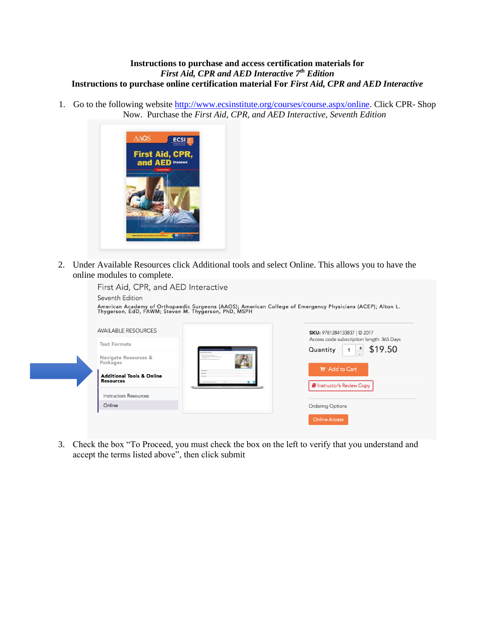#### **Instructions to purchase and access certification materials for**  *First Aid, CPR and AED Interactive 7th Edition* **Instructions to purchase online certification material For** *First Aid, CPR and AED Interactive*

1. Go to the following website [http://www.ecsinstitute.org/courses/course.aspx/online.](http://www.ecsinstitute.org/courses/course.aspx/online) Click CPR- Shop Now. Purchase the *First Aid, CPR, and AED Interactive, Seventh Edition* 



2. Under Available Resources click Additional tools and select Online. This allows you to have the online modules to complete.

| First Aid, CPR, and AED Interactive<br>Seventh Edition   |                                 | American Academy of Orthopaedic Surgeons (AAOS); American College of Emergency Physicians (ACEP); Alton L.<br>Thygerson, EdD, FAWM; Steven M. Thygerson, PhD, MSPH |
|----------------------------------------------------------|---------------------------------|--------------------------------------------------------------------------------------------------------------------------------------------------------------------|
| <b>AVAILABLE RESOURCES</b>                               |                                 | <b>SKU: 9781284133837   © 2017</b>                                                                                                                                 |
| <b>Text Formats</b>                                      | HUPBS THE THE BRINGFRATE ACTION | Access code subscription length: 365 Days<br>\$19.50<br>Quantity                                                                                                   |
| <b>Navigate Resources &amp;</b><br><b>Packages</b>       |                                 |                                                                                                                                                                    |
| <b>Additional Tools &amp; Online</b><br><b>Resources</b> |                                 | <b>P</b> Add to Cart                                                                                                                                               |
| <b>Instructors Resources</b>                             |                                 | <b>E</b> Instructor's Review Copy                                                                                                                                  |
| Online                                                   |                                 | <b>Ordering Options</b>                                                                                                                                            |
|                                                          |                                 | <b>Online Access</b>                                                                                                                                               |

3. Check the box "To Proceed, you must check the box on the left to verify that you understand and accept the terms listed above", then click submit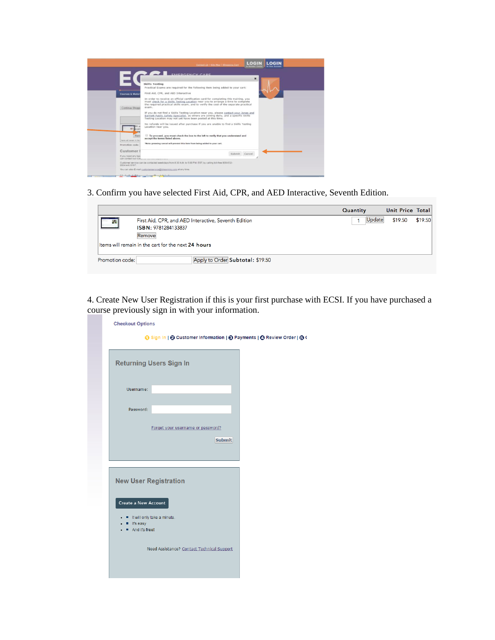|                                              | <b>BE EMEDGENCY CARE</b>                                                                                                                                                                                                                                                 |                |  |
|----------------------------------------------|--------------------------------------------------------------------------------------------------------------------------------------------------------------------------------------------------------------------------------------------------------------------------|----------------|--|
|                                              |                                                                                                                                                                                                                                                                          | $\pmb{\times}$ |  |
|                                              | <b>Skills Testing</b>                                                                                                                                                                                                                                                    |                |  |
|                                              | Practical Exams are required for the following item being added to your cart:                                                                                                                                                                                            |                |  |
| <b>Courses &amp; Mater</b>                   | First Aid, CPR, and AED Interactive                                                                                                                                                                                                                                      |                |  |
| Continue Shoppi                              | In order to receive an official certification card for completing this training, you<br>must check for a Skills Testing Location near you to arrange a time to complete<br>the required practical skills exam, and to verify the cost of the separate practical<br>exam. |                |  |
|                                              | If you do not find a Skills Testing Location near you, please contact your Jones and<br>Bartlett Public Safety Specialist, as others are joining daily, and a specific Skills<br>Testing Location may not yet have been posted at this time.                             |                |  |
|                                              | No refunds will be issued after purchase if you are unable to find a Skills Testing<br>Location near you.                                                                                                                                                                |                |  |
| Rem<br>theme will remove in this             | To proceed, you must check the box to the left to verify that you understand and<br>accept the terms listed above.                                                                                                                                                       |                |  |
| Promotion code:                              | *Note: pressing cancel will prevent this item from being added to your cart.                                                                                                                                                                                             |                |  |
| Customer:                                    |                                                                                                                                                                                                                                                                          |                |  |
| If you need any type<br>can contact our cus- | Submit Cancel                                                                                                                                                                                                                                                            |                |  |
| 0034 ext 8197.                               | Customer service can be contacted weekdays from 8:30 A.M. to 5:00 P.M. EST, by calling toll-free 800-632-                                                                                                                                                                |                |  |

3. Confirm you have selected First Aid, CPR, and AED Interactive, Seventh Edition.

|                 |                                                                                       | Quantity | Unit Price Total |         |
|-----------------|---------------------------------------------------------------------------------------|----------|------------------|---------|
| 露               | First Aid, CPR, and AED Interactive, Seventh Edition<br>ISBN: 9781284133837<br>Remove | Update   | \$19.50          | \$19.50 |
|                 | Items will remain in the cart for the next 24 hours                                   |          |                  |         |
| Promotion code: | Apply to Order Subtotal: \$19.50                                                      |          |                  |         |

4. Create New User Registration if this is your first purchase with ECSI. If you have purchased a course previously sign in with your information.

| ⊙ Sign In   ⊘ Customer Information   ⊙ Payments   ⊘ Review Order   ⊙ ( |                                                                                               |                                                                                 |  |
|------------------------------------------------------------------------|-----------------------------------------------------------------------------------------------|---------------------------------------------------------------------------------|--|
|                                                                        |                                                                                               |                                                                                 |  |
|                                                                        |                                                                                               |                                                                                 |  |
|                                                                        |                                                                                               |                                                                                 |  |
|                                                                        |                                                                                               |                                                                                 |  |
|                                                                        |                                                                                               |                                                                                 |  |
|                                                                        | <b>Submit</b>                                                                                 |                                                                                 |  |
|                                                                        |                                                                                               |                                                                                 |  |
|                                                                        |                                                                                               |                                                                                 |  |
|                                                                        |                                                                                               |                                                                                 |  |
|                                                                        |                                                                                               |                                                                                 |  |
|                                                                        |                                                                                               |                                                                                 |  |
|                                                                        |                                                                                               |                                                                                 |  |
|                                                                        | <b>Returning Users Sign In</b><br><b>New User Registration</b><br>It will only take a minute. | Forget your username or password?<br>Need Assistance? Contact Technical Support |  |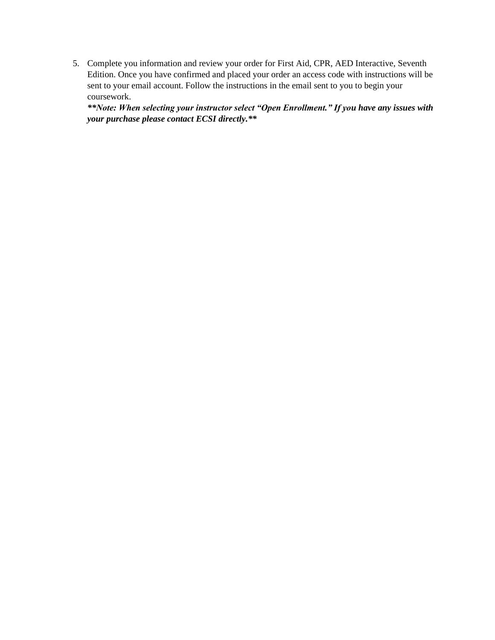5. Complete you information and review your order for First Aid, CPR, AED Interactive, Seventh Edition. Once you have confirmed and placed your order an access code with instructions will be sent to your email account. Follow the instructions in the email sent to you to begin your coursework.

*\*\*Note: When selecting your instructor select "Open Enrollment." If you have any issues with your purchase please contact ECSI directly.\*\**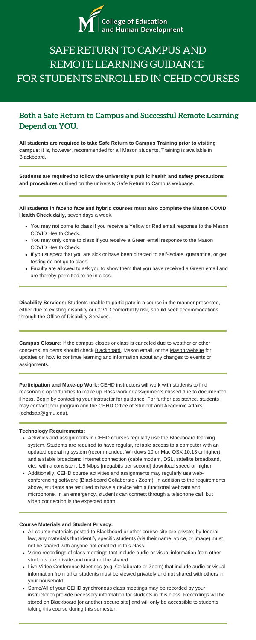**All students are required to take Safe Return to Campus Training prior to visiting campus**: it is, however, recommended for all Mason students. Training is available in [Blackboard](https://mymasonportal.gmu.edu/).

## **Both a Safe Return to Campus and Successful Remote Learning Depend on YOU.**



# SAFE RETURN TO CAMPUS AND REMOTE LEARNING GUIDANCE FOR STUDENTS ENROLLED IN CEHD COURSES

**Students are required to follow the university's public health and safety precautions and procedures** outlined on the university [Safe Return to Campus webpage](https://www2.gmu.edu/Safe-Return-Campus).

**All students in face to face and hybrid courses must also complete the Mason COVID Health Check daily**, seven days a week.

- You may not come to class if you receive a Yellow or Red email response to the Mason COVID Health Check.
- You may only come to class if you receive a Green email response to the Mason COVID Health Check.
- If you suspect that you are sick or have been directed to self-isolate, quarantine, or get testing do not go to class.
- Faculty are allowed to ask you to show them that you have received a Green email and are thereby permitted to be in class.

**Disability Services:** Students unable to participate in a course in the manner presented, either due to existing disability or COVID comorbidity risk, should seek accommodations through the [Office of Disability Services](https://ds.gmu.edu/response-to-covid-19/).

- Activities and assignments in CEHD courses regularly use the **Blackboard** learning system. Students are required to have regular, reliable access to a computer with an updated operating system (recommended: Windows 10 or Mac OSX 10.13 or higher) and a stable broadband Internet connection (cable modem, DSL, satellite broadband, etc., with a consistent 1.5 Mbps [megabits per second] download speed or higher.
- Additionally, CEHD course activities and assignments may regularly use webconferencing software (Blackboard Collaborate / Zoom). In addition to the requirements above, students are required to have a device with a functional webcam and microphone. In an emergency, students can connect through a telephone call, but video connection is the expected norm.

**Campus Closure:** If the campus closes or class is canceled due to weather or other concerns, students should check [Blackboard,](https://mymasonportal.gmu.edu/) Mason email, or the [Mason website](https://www2.gmu.edu/) for updates on how to continue learning and information about any changes to events or assignments.

**Participation and Make-up Work:** CEHD instructors will work with students to find reasonable opportunities to make up class work or assignments missed due to documented illness. Begin by contacting your instructor for guidance. For further assistance, students may contact their program and the CEHD Office of Student and Academic Affairs (cehdsaa@gmu.edu).

## **Technology Requirements:**

- All course materials posted to Blackboard or other course site are private; by federal law, any materials that identify specific students (via their name, voice, or image) must not be shared with anyone not enrolled in this class.
- Video recordings of class meetings that include audio or visual information from other students are private and must not be shared.
- Live Video Conference Meetings (e.g. Collaborate or Zoom) that include audio or visual information from other students must be viewed privately and not shared with others in your household.
- Some/All of your CEHD synchronous class meetings may be recorded by your instructor to provide necessary information for students in this class. Recordings will be stored on Blackboard [or another secure site] and will only be accessible to students taking this course during this semester.

## **Course Materials and Student Privacy:**